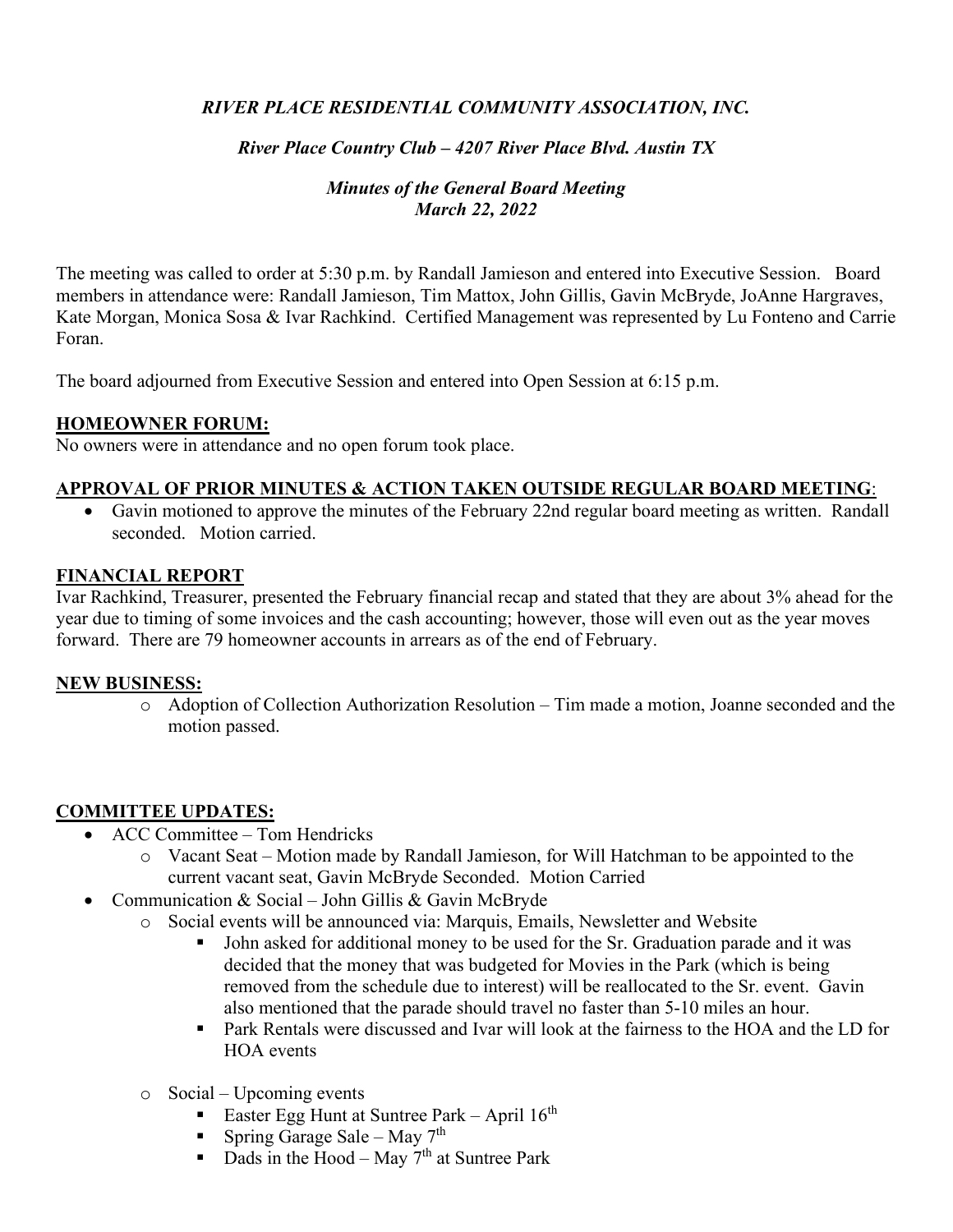# *RIVER PLACE RESIDENTIAL COMMUNITY ASSOCIATION, INC.*

### *River Place Country Club – 4207 River Place Blvd. Austin TX*

## *Minutes of the General Board Meeting March 22, 2022*

The meeting was called to order at 5:30 p.m. by Randall Jamieson and entered into Executive Session. Board members in attendance were: Randall Jamieson, Tim Mattox, John Gillis, Gavin McBryde, JoAnne Hargraves, Kate Morgan, Monica Sosa & Ivar Rachkind. Certified Management was represented by Lu Fonteno and Carrie Foran.

The board adjourned from Executive Session and entered into Open Session at 6:15 p.m.

### **HOMEOWNER FORUM:**

No owners were in attendance and no open forum took place.

### **APPROVAL OF PRIOR MINUTES & ACTION TAKEN OUTSIDE REGULAR BOARD MEETING**:

• Gavin motioned to approve the minutes of the February 22nd regular board meeting as written. Randall seconded. Motion carried.

#### **FINANCIAL REPORT**

Ivar Rachkind, Treasurer, presented the February financial recap and stated that they are about 3% ahead for the year due to timing of some invoices and the cash accounting; however, those will even out as the year moves forward. There are 79 homeowner accounts in arrears as of the end of February.

#### **NEW BUSINESS:**

o Adoption of Collection Authorization Resolution – Tim made a motion, Joanne seconded and the motion passed.

### **COMMITTEE UPDATES:**

- ACC Committee Tom Hendricks
	- o Vacant Seat Motion made by Randall Jamieson, for Will Hatchman to be appointed to the current vacant seat, Gavin McBryde Seconded. Motion Carried
- Communication & Social John Gillis & Gavin McBryde
	- o Social events will be announced via: Marquis, Emails, Newsletter and Website
		- John asked for additional money to be used for the Sr. Graduation parade and it was decided that the money that was budgeted for Movies in the Park (which is being removed from the schedule due to interest) will be reallocated to the Sr. event. Gavin also mentioned that the parade should travel no faster than 5-10 miles an hour.
		- Park Rentals were discussed and Ivar will look at the fairness to the HOA and the LD for HOA events
	- o Social Upcoming events
		- Easter Egg Hunt at Suntree Park April  $16^{th}$
		- Spring Garage Sale May  $7<sup>th</sup>$
		- Dads in the Hood May  $7<sup>th</sup>$  at Suntree Park